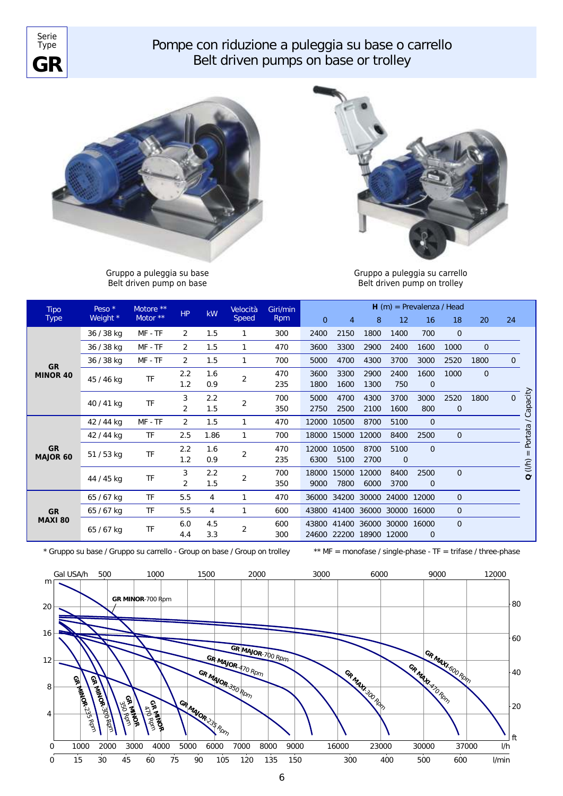

## Pompe con riduzione a puleggia su base o carrello *Belt driven pumps on base or trolley*



Gruppo a puleggia su base *Belt driven pump on base*



Gruppo a puleggia su carrello *Belt driven pump on trolley*

| <b>Tipo</b><br><b>Type</b> | Peso $*$<br>Weight * | Motore <sup>**</sup><br>Motor ** | HP             | kW   | Velocità<br>Speed | Giri/min<br><b>Rpm</b> | $H(m)$ = Prevalenza / Head |                |                               |             |                |                |                |                |          |
|----------------------------|----------------------|----------------------------------|----------------|------|-------------------|------------------------|----------------------------|----------------|-------------------------------|-------------|----------------|----------------|----------------|----------------|----------|
|                            |                      |                                  |                |      |                   |                        | $\overline{0}$             | $\overline{4}$ | 8                             | 12          | 16             | 18             | 20             | 24             |          |
| <b>GR</b><br>MINOR 40      | 36 / 38 kg           | MF - TF                          | 2              | 1.5  | 1                 | 300                    | 2400                       | 2150           | 1800                          | 1400        | 700            | $\overline{0}$ |                |                |          |
|                            | 36 / 38 kg           | MF - TF                          | $\overline{2}$ | 1.5  | 1                 | 470                    | 3600                       | 3300           | 2900                          | 2400        | 1600           | 1000           | $\overline{0}$ |                |          |
|                            | 36 / 38 kg           | MF - TF                          | 2              | 1.5  | 1                 | 700                    | 5000                       | 4700           | 4300                          | 3700        | 3000           | 2520           | 1800           | $\overline{0}$ |          |
|                            | 45 / 46 kg           | TF                               | 2.2            | 1.6  | 2                 | 470                    | 3600                       | 3300           | 2900                          | 2400        | 1600           | 1000           | $\overline{0}$ |                |          |
|                            |                      |                                  | 1.2            | 0.9  |                   | 235                    | 1800                       | 1600           | 1300                          | 750         | $\overline{0}$ |                |                |                |          |
|                            | 40 / 41 kg           | TF                               | 3              | 2.2  | $\overline{2}$    | 700                    | 5000                       | 4700           | 4300                          | 3700        | 3000           | 2520           | 1800           | $\Omega$       | Capacity |
|                            |                      |                                  | 2              | 1.5  |                   | 350                    | 2750                       | 2500           | 2100                          | 1600        | 800            | $\overline{0}$ |                |                |          |
| <b>GR</b><br>MAJOR 60      | 42 / 44 kg           | MF - TF                          | 2              | 1.5  | 1                 | 470                    | 12000                      | 10500          | 8700                          | 5100        | $\overline{0}$ |                |                |                |          |
|                            | 42 / 44 kg           | TF                               | 2.5            | 1.86 | $\mathbf{1}$      | 700                    | 18000                      | 15000          | 12000                         | 8400        | 2500           | $\overline{0}$ |                |                | Portata  |
|                            | 51 / 53 kg           | TF                               | 2.2            | 1.6  | 2                 | 470                    | 12000                      | 10500          | 8700                          | 5100        | $\Omega$       |                |                |                |          |
|                            |                      |                                  | 1.2            | 0.9  |                   | 235                    | 6300                       | 5100           | 2700                          | $\mathbf 0$ |                |                |                |                | (1/h)    |
|                            | 44 / 45 kg           | TF                               | 3              | 2.2  | 2                 | 700                    | 18000                      | 15000          | 12000                         | 8400        | 2500           | $\overline{0}$ |                |                | $\circ$  |
|                            |                      |                                  | $\overline{2}$ | 1.5  |                   | 350                    | 9000                       | 7800           | 6000                          | 3700        | $\mathbf{0}$   |                |                |                |          |
| <b>GR</b><br>MAXI 80       | 65 / 67 kg           | TF                               | 5.5            | 4    | 1                 | 470                    |                            |                | 36000 34200 30000 24000 12000 |             |                | $\overline{0}$ |                |                |          |
|                            | 65 / 67 kg           | <b>TF</b>                        | 5.5            | 4    | 1                 | 600                    |                            |                | 43800 41400 36000 30000 16000 |             |                | $\overline{0}$ |                |                |          |
|                            | 65 / 67 kg           | TF                               | 6.0            | 4.5  | 2                 | 600                    |                            |                | 43800 41400 36000 30000 16000 |             |                | $\overline{0}$ |                |                |          |
|                            |                      |                                  | 4.4            | 3.3  |                   | 300                    | 24600                      | 22200          | 18900                         | 12000       | 0              |                |                |                |          |

\* Gruppo su base / Gruppo su carrello - Group on base / Group on trolley \*\* MF = monofase / single-phase - TF = trifase / three-phase